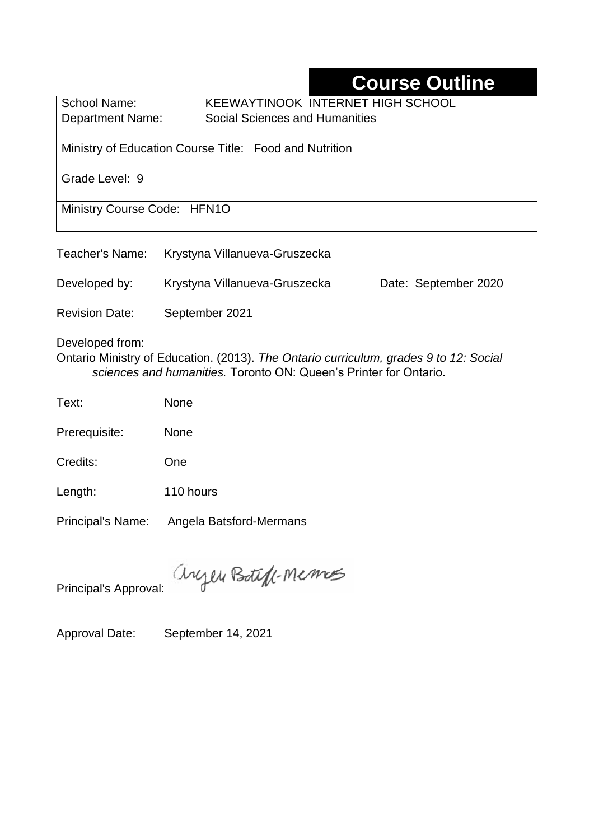# **Course Outline**

School Name: KEEWAYTINOOK INTERNET HIGH SCHOOL Department Name:Social Sciences and Humanities

Ministry of Education Course Title: Food and Nutrition

Grade Level: 9

Ministry Course Code: HFN1O

|                       | Teacher's Name: Krystyna Villanueva-Gruszecka                                         |                      |
|-----------------------|---------------------------------------------------------------------------------------|----------------------|
| Developed by:         | Krystyna Villanueva-Gruszecka                                                         | Date: September 2020 |
| <b>Revision Date:</b> | September 2021                                                                        |                      |
| Developed from:       | Ontario Ministry of Education. (2013). The Ontario curriculum, grades 9 to 12: Social |                      |

*sciences and humanities.* Toronto ON: Queen's Printer for Ontario.

Text: None

Prerequisite: None

Credits: One

Length: 110 hours

Principal's Name: Angela Batsford-Mermans

anyen Boteff-Memos

Principal's Approval:

Approval Date: September 14, 2021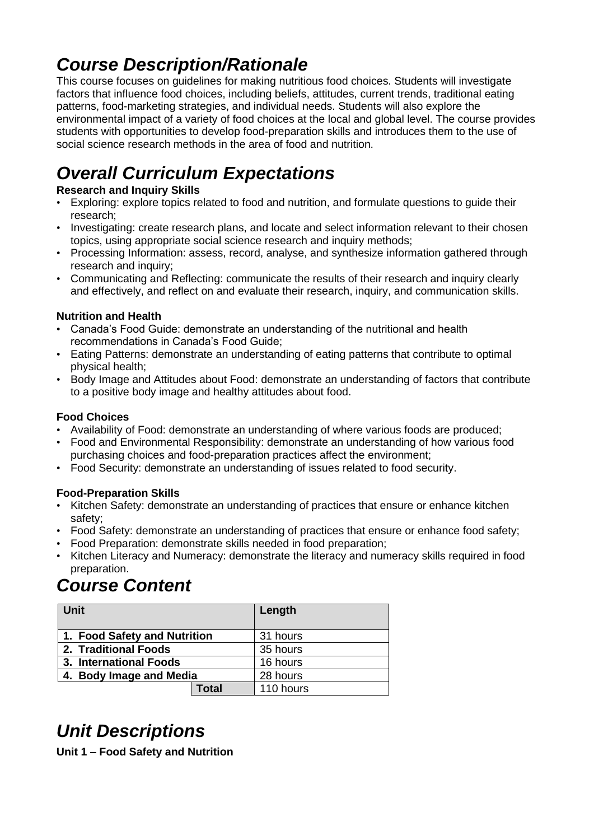# *Course Description/Rationale*

This course focuses on guidelines for making nutritious food choices. Students will investigate factors that influence food choices, including beliefs, attitudes, current trends, traditional eating patterns, food-marketing strategies, and individual needs. Students will also explore the environmental impact of a variety of food choices at the local and global level. The course provides students with opportunities to develop food-preparation skills and introduces them to the use of social science research methods in the area of food and nutrition.

# *Overall Curriculum Expectations*

### **Research and Inquiry Skills**

- Exploring: explore topics related to food and nutrition, and formulate questions to guide their research;
- Investigating: create research plans, and locate and select information relevant to their chosen topics, using appropriate social science research and inquiry methods;
- Processing Information: assess, record, analyse, and synthesize information gathered through research and inquiry;
- Communicating and Reflecting: communicate the results of their research and inquiry clearly and effectively, and reflect on and evaluate their research, inquiry, and communication skills.

#### **Nutrition and Health**

- Canada's Food Guide: demonstrate an understanding of the nutritional and health recommendations in Canada's Food Guide;
- Eating Patterns: demonstrate an understanding of eating patterns that contribute to optimal physical health;
- Body Image and Attitudes about Food: demonstrate an understanding of factors that contribute to a positive body image and healthy attitudes about food.

### **Food Choices**

- Availability of Food: demonstrate an understanding of where various foods are produced;
- Food and Environmental Responsibility: demonstrate an understanding of how various food purchasing choices and food-preparation practices affect the environment;
- Food Security: demonstrate an understanding of issues related to food security.

#### **Food-Preparation Skills**

- Kitchen Safety: demonstrate an understanding of practices that ensure or enhance kitchen safety;
- Food Safety: demonstrate an understanding of practices that ensure or enhance food safety;
- Food Preparation: demonstrate skills needed in food preparation;
- Kitchen Literacy and Numeracy: demonstrate the literacy and numeracy skills required in food preparation.

# *Course Content*

| <b>Unit</b>                  |       | Length    |
|------------------------------|-------|-----------|
| 1. Food Safety and Nutrition |       | 31 hours  |
| 2. Traditional Foods         |       | 35 hours  |
| 3. International Foods       |       | 16 hours  |
| 4. Body Image and Media      |       | 28 hours  |
|                              | Total | 110 hours |

# *Unit Descriptions*

**Unit 1 – Food Safety and Nutrition**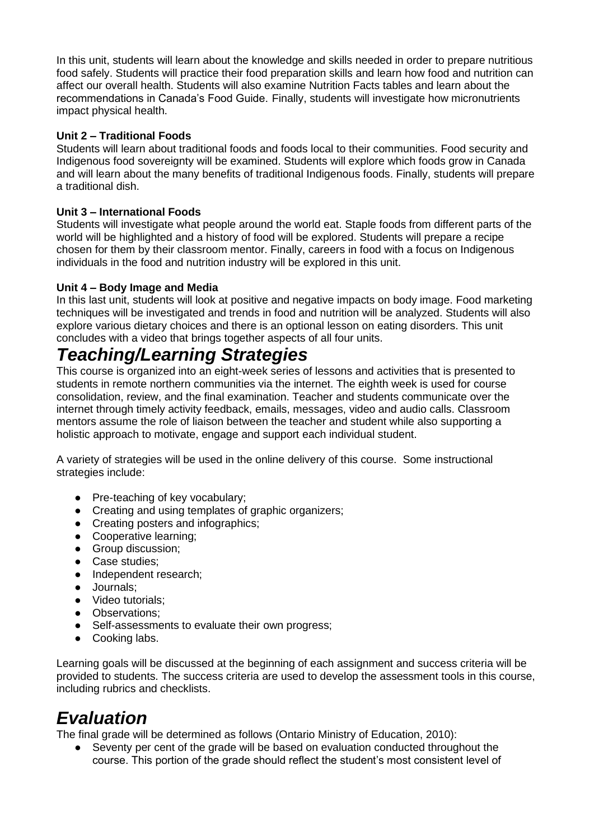In this unit, students will learn about the knowledge and skills needed in order to prepare nutritious food safely. Students will practice their food preparation skills and learn how food and nutrition can affect our overall health. Students will also examine Nutrition Facts tables and learn about the recommendations in Canada's Food Guide. Finally, students will investigate how micronutrients impact physical health.

#### **Unit 2 – Traditional Foods**

Students will learn about traditional foods and foods local to their communities. Food security and Indigenous food sovereignty will be examined. Students will explore which foods grow in Canada and will learn about the many benefits of traditional Indigenous foods. Finally, students will prepare a traditional dish.

#### **Unit 3 – International Foods**

Students will investigate what people around the world eat. Staple foods from different parts of the world will be highlighted and a history of food will be explored. Students will prepare a recipe chosen for them by their classroom mentor. Finally, careers in food with a focus on Indigenous individuals in the food and nutrition industry will be explored in this unit.

#### **Unit 4 – Body Image and Media**

In this last unit, students will look at positive and negative impacts on body image. Food marketing techniques will be investigated and trends in food and nutrition will be analyzed. Students will also explore various dietary choices and there is an optional lesson on eating disorders. This unit concludes with a video that brings together aspects of all four units.

## *Teaching/Learning Strategies*

This course is organized into an eight-week series of lessons and activities that is presented to students in remote northern communities via the internet. The eighth week is used for course consolidation, review, and the final examination. Teacher and students communicate over the internet through timely activity feedback, emails, messages, video and audio calls. Classroom mentors assume the role of liaison between the teacher and student while also supporting a holistic approach to motivate, engage and support each individual student.

A variety of strategies will be used in the online delivery of this course. Some instructional strategies include:

- Pre-teaching of key vocabulary:
- Creating and using templates of graphic organizers;
- Creating posters and infographics;
- Cooperative learning;
- Group discussion;
- Case studies;
- Independent research:
- Journals;
- Video tutorials;
- Observations;
- Self-assessments to evaluate their own progress;
- Cooking labs.

Learning goals will be discussed at the beginning of each assignment and success criteria will be provided to students. The success criteria are used to develop the assessment tools in this course, including rubrics and checklists.

## *Evaluation*

The final grade will be determined as follows (Ontario Ministry of Education, 2010):

Seventy per cent of the grade will be based on evaluation conducted throughout the course. This portion of the grade should reflect the student's most consistent level of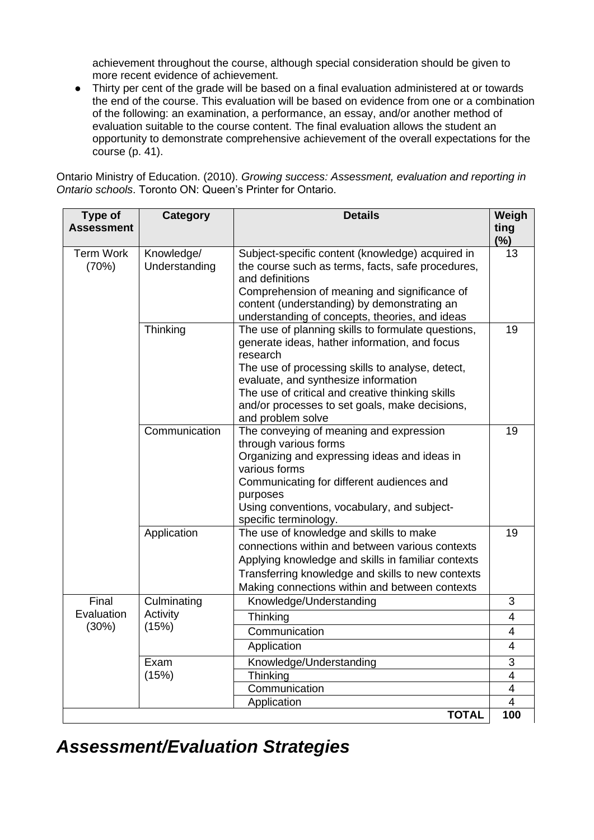achievement throughout the course, although special consideration should be given to more recent evidence of achievement.

● Thirty per cent of the grade will be based on a final evaluation administered at or towards the end of the course. This evaluation will be based on evidence from one or a combination of the following: an examination, a performance, an essay, and/or another method of evaluation suitable to the course content. The final evaluation allows the student an opportunity to demonstrate comprehensive achievement of the overall expectations for the course (p. 41).

Ontario Ministry of Education. (2010). *Growing success: Assessment, evaluation and reporting in Ontario schools*. Toronto ON: Queen's Printer for Ontario.

| Type of<br><b>Assessment</b> | <b>Category</b>                  | <b>Details</b>                                                                                                                                                                                                                                                                                                                         | Weigh<br>ting<br>(%)             |
|------------------------------|----------------------------------|----------------------------------------------------------------------------------------------------------------------------------------------------------------------------------------------------------------------------------------------------------------------------------------------------------------------------------------|----------------------------------|
| <b>Term Work</b><br>(70%)    | Knowledge/<br>Understanding      | Subject-specific content (knowledge) acquired in<br>the course such as terms, facts, safe procedures,<br>and definitions<br>Comprehension of meaning and significance of<br>content (understanding) by demonstrating an<br>understanding of concepts, theories, and ideas                                                              | 13                               |
|                              | Thinking                         | The use of planning skills to formulate questions,<br>generate ideas, hather information, and focus<br>research<br>The use of processing skills to analyse, detect,<br>evaluate, and synthesize information<br>The use of critical and creative thinking skills<br>and/or processes to set goals, make decisions,<br>and problem solve | 19                               |
|                              | Communication                    | The conveying of meaning and expression<br>through various forms<br>Organizing and expressing ideas and ideas in<br>various forms<br>Communicating for different audiences and<br>purposes<br>Using conventions, vocabulary, and subject-<br>specific terminology.                                                                     | 19                               |
|                              | Application                      | The use of knowledge and skills to make<br>connections within and between various contexts<br>Applying knowledge and skills in familiar contexts<br>Transferring knowledge and skills to new contexts<br>Making connections within and between contexts                                                                                | 19                               |
| Final                        | Culminating<br>Activity<br>(15%) | Knowledge/Understanding                                                                                                                                                                                                                                                                                                                | 3                                |
| Evaluation<br>(30%)          |                                  | Thinking                                                                                                                                                                                                                                                                                                                               | $\overline{4}$                   |
|                              |                                  | Communication                                                                                                                                                                                                                                                                                                                          | $\overline{4}$<br>$\overline{4}$ |
|                              |                                  | Application                                                                                                                                                                                                                                                                                                                            |                                  |
|                              | Exam<br>(15%)                    | Knowledge/Understanding<br>Thinking                                                                                                                                                                                                                                                                                                    | 3<br>$\overline{\mathbf{4}}$     |
|                              |                                  | Communication                                                                                                                                                                                                                                                                                                                          | $\overline{4}$                   |
|                              |                                  | Application                                                                                                                                                                                                                                                                                                                            | 4                                |
|                              |                                  | <b>TOTAL</b>                                                                                                                                                                                                                                                                                                                           | 100                              |

*Assessment/Evaluation Strategies*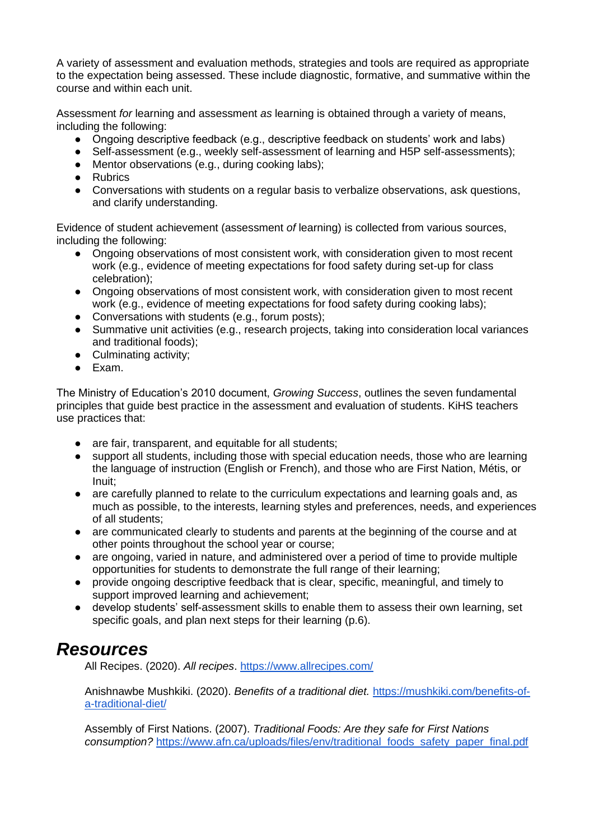A variety of assessment and evaluation methods, strategies and tools are required as appropriate to the expectation being assessed. These include diagnostic, formative, and summative within the course and within each unit.

Assessment *for* learning and assessment *as* learning is obtained through a variety of means, including the following:

- Ongoing descriptive feedback (e.g., descriptive feedback on students' work and labs)
- Self-assessment (e.g., weekly self-assessment of learning and H5P self-assessments);
- Mentor observations (e.g., during cooking labs);
- Rubrics
- Conversations with students on a regular basis to verbalize observations, ask questions, and clarify understanding.

Evidence of student achievement (assessment *of* learning) is collected from various sources, including the following:

- Ongoing observations of most consistent work, with consideration given to most recent work (e.g., evidence of meeting expectations for food safety during set-up for class celebration);
- Ongoing observations of most consistent work, with consideration given to most recent work (e.g., evidence of meeting expectations for food safety during cooking labs);
- Conversations with students (e.g., forum posts);
- Summative unit activities (e.g., research projects, taking into consideration local variances and traditional foods);
- Culminating activity;
- Exam.

The Ministry of Education's 2010 document, *Growing Success*, outlines the seven fundamental principles that guide best practice in the assessment and evaluation of students. KiHS teachers use practices that:

- are fair, transparent, and equitable for all students;
- support all students, including those with special education needs, those who are learning the language of instruction (English or French), and those who are First Nation, Métis, or Inuit;
- are carefully planned to relate to the curriculum expectations and learning goals and, as much as possible, to the interests, learning styles and preferences, needs, and experiences of all students;
- are communicated clearly to students and parents at the beginning of the course and at other points throughout the school year or course;
- are ongoing, varied in nature, and administered over a period of time to provide multiple opportunities for students to demonstrate the full range of their learning;
- provide ongoing descriptive feedback that is clear, specific, meaningful, and timely to support improved learning and achievement;
- develop students' self-assessment skills to enable them to assess their own learning, set specific goals, and plan next steps for their learning (p.6).

### *Resources*

All Recipes. (2020). *All recipes*.<https://www.allrecipes.com/>

Anishnawbe Mushkiki. (2020). *Benefits of a traditional diet.* [https://mushkiki.com/benefits-of](https://mushkiki.com/benefits-of-a-traditional-diet/)[a-traditional-diet/](https://mushkiki.com/benefits-of-a-traditional-diet/)

Assembly of First Nations. (2007). *Traditional Foods: Are they safe for First Nations consumption?* [https://www.afn.ca/uploads/files/env/traditional\\_foods\\_safety\\_paper\\_final.pdf](https://www.afn.ca/uploads/files/env/traditional_foods_safety_paper_final.pdf)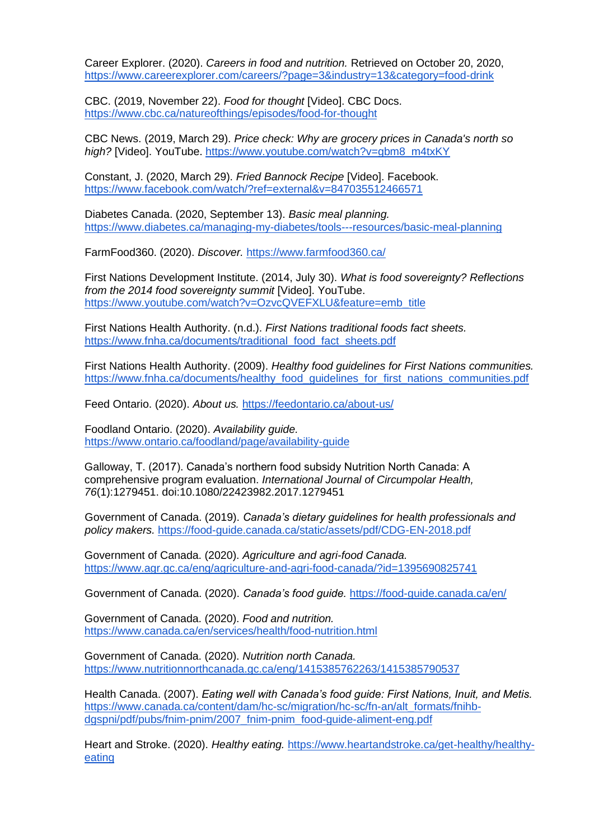Career Explorer. (2020). *Careers in food and nutrition.* Retrieved on October 20, 2020, <https://www.careerexplorer.com/careers/?page=3&industry=13&category=food-drink>

CBC. (2019, November 22). *Food for thought* [Video]. CBC Docs. <https://www.cbc.ca/natureofthings/episodes/food-for-thought>

CBC News. (2019, March 29). *Price check: Why are grocery prices in Canada's north so high?* [Video]. YouTube. [https://www.youtube.com/watch?v=gbm8\\_m4txKY](https://www.youtube.com/watch?v=gbm8_m4txKY)

Constant, J. (2020, March 29). *Fried Bannock Recipe* [Video]. Facebook. <https://www.facebook.com/watch/?ref=external&v=847035512466571>

Diabetes Canada. (2020, September 13). *Basic meal planning.* <https://www.diabetes.ca/managing-my-diabetes/tools---resources/basic-meal-planning>

FarmFood360. (2020). *Discover.* <https://www.farmfood360.ca/>

First Nations Development Institute. (2014, July 30). *What is food sovereignty? Reflections from the 2014 food sovereignty summit* [Video]. YouTube. [https://www.youtube.com/watch?v=OzvcQVEFXLU&feature=emb\\_title](https://www.youtube.com/watch?v=OzvcQVEFXLU&feature=emb_title)

First Nations Health Authority. (n.d.). *First Nations traditional foods fact sheets.* [https://www.fnha.ca/documents/traditional\\_food\\_fact\\_sheets.pdf](https://www.fnha.ca/documents/traditional_food_fact_sheets.pdf)

First Nations Health Authority. (2009). *Healthy food guidelines for First Nations communities.*  https://www.fnha.ca/documents/healthy\_food\_quidelines\_for\_first\_nations\_communities.pdf

Feed Ontario. (2020). *About us.* <https://feedontario.ca/about-us/>

Foodland Ontario. (2020). *Availability guide.* <https://www.ontario.ca/foodland/page/availability-guide>

Galloway, T. (2017). Canada's northern food subsidy Nutrition North Canada: A comprehensive program evaluation. *International Journal of Circumpolar Health, 76*(1):1279451. doi:10.1080/22423982.2017.1279451

Government of Canada. (2019). *Canada's dietary guidelines for health professionals and policy makers.* <https://food-guide.canada.ca/static/assets/pdf/CDG-EN-2018.pdf>

Government of Canada. (2020). *Agriculture and agri-food Canada.*  <https://www.agr.gc.ca/eng/agriculture-and-agri-food-canada/?id=1395690825741>

Government of Canada. (2020). *Canada's food guide.* <https://food-guide.canada.ca/en/>

Government of Canada. (2020). *Food and nutrition.*  <https://www.canada.ca/en/services/health/food-nutrition.html>

Government of Canada. (2020). *Nutrition north Canada.*  <https://www.nutritionnorthcanada.gc.ca/eng/1415385762263/1415385790537>

Health Canada. (2007). *Eating well with Canada's food guide: First Nations, Inuit, and Metis.*  [https://www.canada.ca/content/dam/hc-sc/migration/hc-sc/fn-an/alt\\_formats/fnihb](https://www.canada.ca/content/dam/hc-sc/migration/hc-sc/fn-an/alt_formats/fnihb-dgspni/pdf/pubs/fnim-pnim/2007_fnim-pnim_food-guide-aliment-eng.pdf)[dgspni/pdf/pubs/fnim-pnim/2007\\_fnim-pnim\\_food-guide-aliment-eng.pdf](https://www.canada.ca/content/dam/hc-sc/migration/hc-sc/fn-an/alt_formats/fnihb-dgspni/pdf/pubs/fnim-pnim/2007_fnim-pnim_food-guide-aliment-eng.pdf)

Heart and Stroke. (2020). *Healthy eating.* [https://www.heartandstroke.ca/get-healthy/healthy](https://www.heartandstroke.ca/get-healthy/healthy-eating)[eating](https://www.heartandstroke.ca/get-healthy/healthy-eating)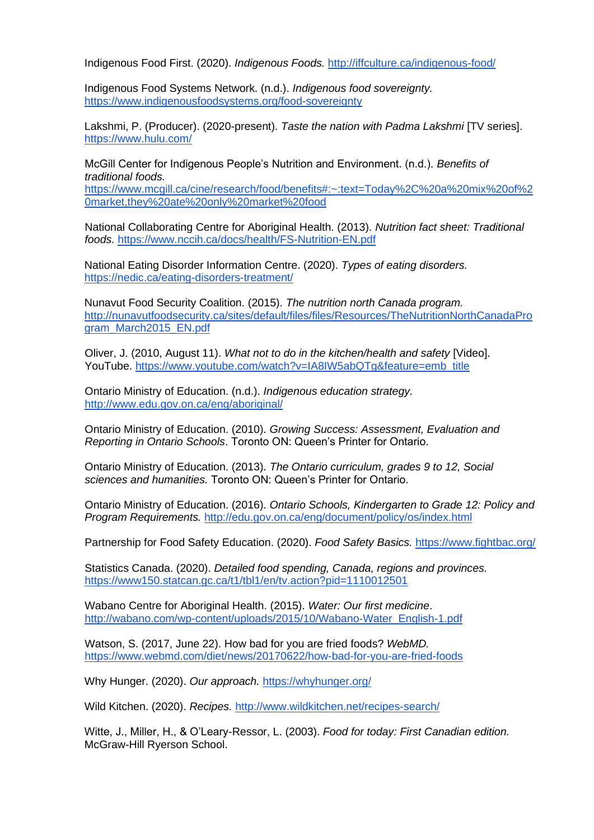Indigenous Food First. (2020). *Indigenous Foods.* <http://iffculture.ca/indigenous-food/>

Indigenous Food Systems Network. (n.d.). *Indigenous food sovereignty.* <https://www.indigenousfoodsystems.org/food-sovereignty>

Lakshmi, P. (Producer). (2020-present). *Taste the nation with Padma Lakshmi* [TV series]. <https://www.hulu.com/>

McGill Center for Indigenous People's Nutrition and Environment. (n.d.). *Benefits of traditional foods.*

[https://www.mcgill.ca/cine/research/food/benefits#:~:text=Today%2C%20a%20mix%20of%2](https://www.mcgill.ca/cine/research/food/benefits#:~:text=Today%2C%20a%20mix%20of%20market,they%20ate%20only%20market%20food) [0market,they%20ate%20only%20market%20food](https://www.mcgill.ca/cine/research/food/benefits#:~:text=Today%2C%20a%20mix%20of%20market,they%20ate%20only%20market%20food)

National Collaborating Centre for Aboriginal Health. (2013). *Nutrition fact sheet: Traditional foods.* <https://www.nccih.ca/docs/health/FS-Nutrition-EN.pdf>

National Eating Disorder Information Centre. (2020). *Types of eating disorders.*  <https://nedic.ca/eating-disorders-treatment/>

Nunavut Food Security Coalition. (2015). *The nutrition north Canada program.* [http://nunavutfoodsecurity.ca/sites/default/files/files/Resources/TheNutritionNorthCanadaPro](http://nunavutfoodsecurity.ca/sites/default/files/files/Resources/TheNutritionNorthCanadaProgram_March2015_EN.pdf) [gram\\_March2015\\_EN.pdf](http://nunavutfoodsecurity.ca/sites/default/files/files/Resources/TheNutritionNorthCanadaProgram_March2015_EN.pdf)

Oliver, J. (2010, August 11). *What not to do in the kitchen/health and safety* [Video]. YouTube. [https://www.youtube.com/watch?v=IA8IW5abQTg&feature=emb\\_title](https://www.youtube.com/watch?v=IA8IW5abQTg&feature=emb_title)

Ontario Ministry of Education. (n.d.). *Indigenous education strategy.* <http://www.edu.gov.on.ca/eng/aboriginal/>

Ontario Ministry of Education. (2010). *Growing Success: Assessment, Evaluation and Reporting in Ontario Schools*. Toronto ON: Queen's Printer for Ontario.

Ontario Ministry of Education. (2013). *The Ontario curriculum, grades 9 to 12, Social sciences and humanities.* Toronto ON: Queen's Printer for Ontario.

Ontario Ministry of Education. (2016). *Ontario Schools, Kindergarten to Grade 12: Policy and Program Requirements.* <http://edu.gov.on.ca/eng/document/policy/os/index.html>

Partnership for Food Safety Education. (2020). *Food Safety Basics.* <https://www.fightbac.org/>

Statistics Canada. (2020). *Detailed food spending, Canada, regions and provinces.*  <https://www150.statcan.gc.ca/t1/tbl1/en/tv.action?pid=1110012501>

Wabano Centre for Aboriginal Health. (2015). *Water: Our first medicine*. [http://wabano.com/wp-content/uploads/2015/10/Wabano-Water\\_English-1.pdf](http://wabano.com/wp-content/uploads/2015/10/Wabano-Water_English-1.pdf)

Watson, S. (2017, June 22). How bad for you are fried foods? *WebMD.* <https://www.webmd.com/diet/news/20170622/how-bad-for-you-are-fried-foods>

Why Hunger. (2020). *Our approach.* <https://whyhunger.org/>

Wild Kitchen. (2020). *Recipes.* <http://www.wildkitchen.net/recipes-search/>

Witte, J., Miller, H., & O'Leary-Ressor, L. (2003). *Food for today: First Canadian edition.* McGraw-Hill Ryerson School.